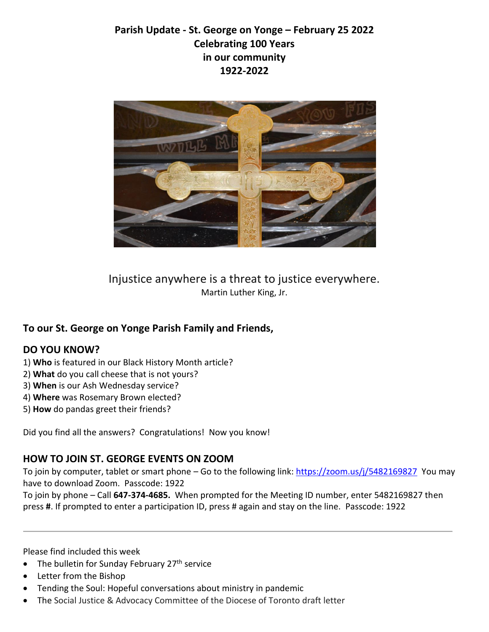# **Parish Update - St. George on Yonge – February 25 2022 Celebrating 100 Years in our community 1922-2022**



Injustice anywhere is a threat to justice everywhere. Martin Luther King, Jr.

### **To our St. George on Yonge Parish Family and Friends,**

#### **DO YOU KNOW?**

- 1) **Who** is featured in our Black History Month article?
- 2) **What** do you call cheese that is not yours?
- 3) **When** is our Ash Wednesday service?
- 4) **Where** was Rosemary Brown elected?
- 5) **How** do pandas greet their friends?

Did you find all the answers? Congratulations! Now you know!

#### **HOW TO JOIN ST. GEORGE EVENTS ON ZOOM**

To join by computer, tablet or smart phone - Go to the following link: [https://zoom.us/j/5482169827](https://zoom.us/j/5482169827?pwd=VWJyNU9pWnBJbWhuQSthSThHR2dlQT09) You may have to download Zoom. Passcode: 1922

To join by phone – Call **647-374-4685.** When prompted for the Meeting ID number, enter 5482169827 then press **#**. If prompted to enter a participation ID, press # again and stay on the line. Passcode: 1922

Please find included this week

- The bulletin for Sunday February  $27<sup>th</sup>$  service
- Letter from the Bishop
- Tending the Soul: Hopeful conversations about ministry in pandemic
- The Social Justice & Advocacy Committee of the Diocese of Toronto draft letter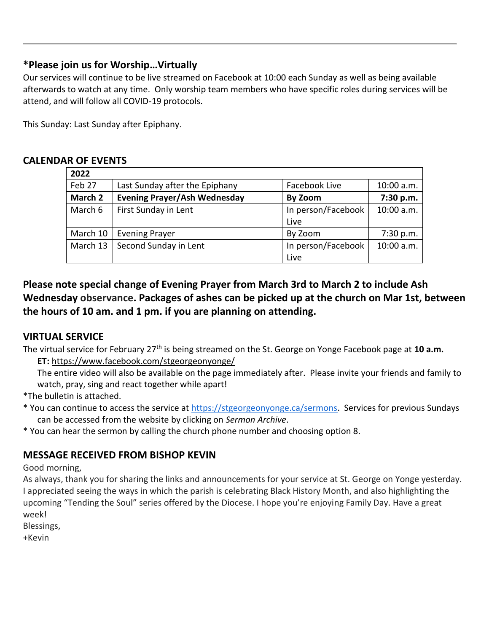### **\*Please join us for Worship…Virtually**

Our services will continue to be live streamed on Facebook at 10:00 each Sunday as well as being available afterwards to watch at any time. Only worship team members who have specific roles during services will be attend, and will follow all COVID-19 protocols.

This Sunday: Last Sunday after Epiphany.

### **CALENDAR OF EVENTS**

| 2022     |                                     |                    |            |  |
|----------|-------------------------------------|--------------------|------------|--|
| Feb 27   | Last Sunday after the Epiphany      | Facebook Live      | 10:00 a.m. |  |
| March 2  | <b>Evening Prayer/Ash Wednesday</b> | By Zoom            | 7:30 p.m.  |  |
| March 6  | First Sunday in Lent                | In person/Facebook | 10:00 a.m. |  |
|          |                                     | Live               |            |  |
| March 10 | <b>Evening Prayer</b>               | By Zoom            | 7:30 p.m.  |  |
| March 13 | Second Sunday in Lent               | In person/Facebook | 10:00 a.m. |  |
|          |                                     | Live               |            |  |

## **Please note special change of Evening Prayer from March 3rd to March 2 to include Ash Wednesday observance. Packages of ashes can be picked up at the church on Mar 1st, between the hours of 10 am. and 1 pm. if you are planning on attending.**

## **VIRTUAL SERVICE**

- The virtual service for February 27th is being streamed on the St. George on Yonge Facebook page at **10 a.m. ET:** <https://www.facebook.com/stgeorgeonyonge/>
	- The entire video will also be available on the page immediately after. Please invite your friends and family to watch, pray, sing and react together while apart!
- \*The bulletin is attached.
- \* You can continue to access the service at [https://stgeorgeonyonge.ca/sermons.](https://stgeorgeonyonge.ca/sermons) Services for previous Sundays can be accessed from the website by clicking on *Sermon Archive*.
- \* You can hear the sermon by calling the church phone number and choosing option 8.

## **MESSAGE RECEIVED FROM BISHOP KEVIN**

Good morning,

As always, thank you for sharing the links and announcements for your service at St. George on Yonge yesterday. I appreciated seeing the ways in which the parish is celebrating Black History Month, and also highlighting the upcoming "Tending the Soul" series offered by the Diocese. I hope you're enjoying Family Day. Have a great week!

Blessings,

+Kevin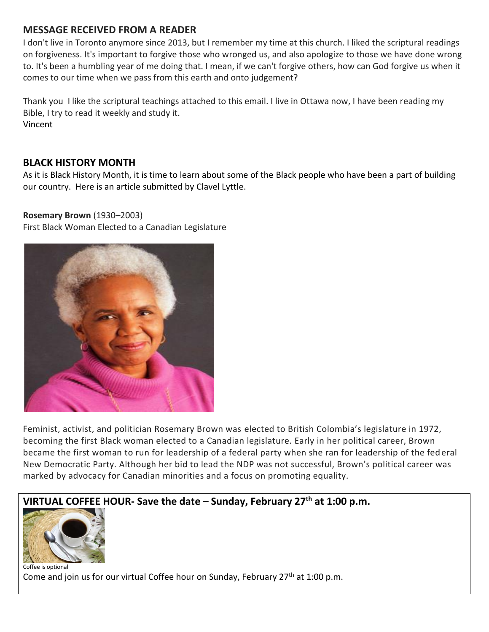### **MESSAGE RECEIVED FROM A READER**

I don't live in Toronto anymore since 2013, but I remember my time at this church. I liked the scriptural readings on forgiveness. It's important to forgive those who wronged us, and also apologize to those we have done wrong to. It's been a humbling year of me doing that. I mean, if we can't forgive others, how can God forgive us when it comes to our time when we pass from this earth and onto judgement?

Thank you I like the scriptural teachings attached to this email. I live in Ottawa now, I have been reading my Bible, I try to read it weekly and study it. Vincent

### **BLACK HISTORY MONTH**

As it is Black History Month, it is time to learn about some of the Black people who have been a part of building our country. Here is an article submitted by Clavel Lyttle.

#### **Rosemary Brown** (1930–2003)

First Black Woman Elected to a Canadian Legislature



Feminist, activist, and politician Rosemary Brown was elected to British Colombia's legislature in 1972, becoming the first Black woman elected to a Canadian legislature. Early in her political career, Brown became the first woman to run for leadership of a federal party when she ran for leadership of the fed eral New Democratic Party. Although her bid to lead the NDP was not successful, Brown's political career was marked by advocacy for Canadian minorities and a focus on promoting equality.



 $\overline{\phantom{a}}$ Coffee is optional Come and join us for our virtual Coffee hour on Sunday, February  $27<sup>th</sup>$  at 1:00 p.m.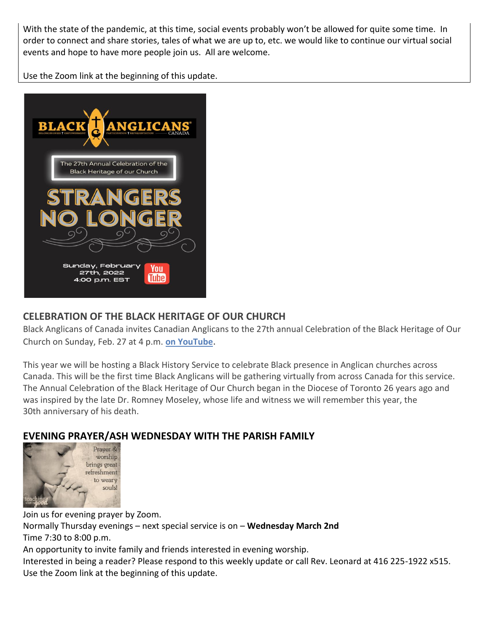With the state of the pandemic, at this time, social events probably won't be allowed for quite some time. In order to connect and share stories, tales of what we are up to, etc. we would like to continue our virtual social events and hope to have more people join us. All are welcome.

Use the Zoom link at the beginning of this update.



## **CELEBRATION OF THE BLACK HERITAGE OF OUR CHURCH**

Black Anglicans of Canada invites Canadian Anglicans to the 27th annual Celebration of the Black Heritage of Our Church on Sunday, Feb. 27 at 4 p.m. **[on YouTube](https://www.youtube.com/channel/UCVKY7RJYWxEwk6VcwsYERsA)**.

This year we will be hosting a Black History Service to celebrate Black presence in Anglican churches across Canada. This will be the first time Black Anglicans will be gathering virtually from across Canada for this service. The Annual Celebration of the Black Heritage of Our Church began in the Diocese of Toronto 26 years ago and was inspired by the late Dr. Romney Moseley, whose life and witness we will remember this year, the 30th anniversary of his death.

# **EVENING PRAYER/ASH WEDNESDAY WITH THE PARISH FAMILY**



Join us for evening prayer by Zoom. Normally Thursday evenings – next special service is on – **Wednesday March 2nd**  Time 7:30 to 8:00 p.m. An opportunity to invite family and friends interested in evening worship. Interested in being a reader? Please respond to this weekly update or call Rev. Leonard at 416 225-1922 x515. Use the Zoom link at the beginning of this update.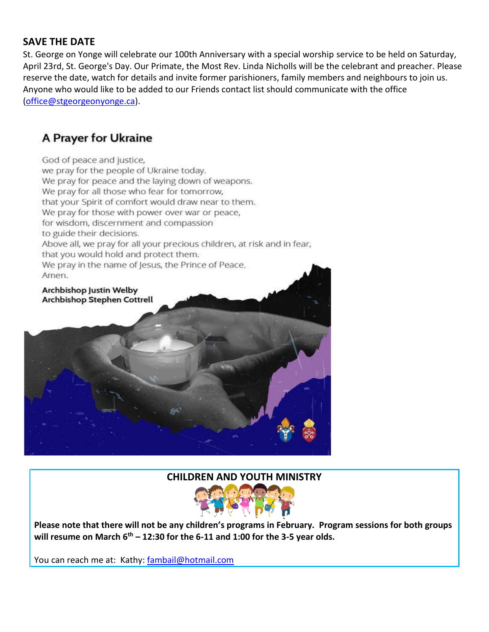### **SAVE THE DATE**

St. George on Yonge will celebrate our 100th Anniversary with a special worship service to be held on Saturday, April 23rd, St. George's Day. Our Primate, the Most Rev. Linda Nicholls will be the celebrant and preacher. Please reserve the date, watch for details and invite former parishioners, family members and neighbours to join us. Anyone who would like to be added to our Friends contact list should communicate with the office [\(office@stgeorgeonyonge.ca\)](mailto:office@stgeorgeonyonge.ca).

# A Prayer for Ukraine

God of peace and justice.

we pray for the people of Ukraine today. We pray for peace and the laying down of weapons. We pray for all those who fear for tomorrow, that your Spirit of comfort would draw near to them. We pray for those with power over war or peace, for wisdom, discernment and compassion to guide their decisions. Above all, we pray for all your precious children, at risk and in fear, that you would hold and protect them. We pray in the name of Jesus, the Prince of Peace. Amen. Archbishop Justin Welby

Archbishop Stephen Cottrell

#### **CHILDREN AND YOUTH MINISTRY**



**Please note that there will not be any children's programs in February. Program sessions for both groups will resume on March 6th – 12:30 for the 6-11 and 1:00 for the 3-5 year olds.**

You can reach me at: Kathy: [fambail@hotmail.com](mailto:fambail@hotmail.com)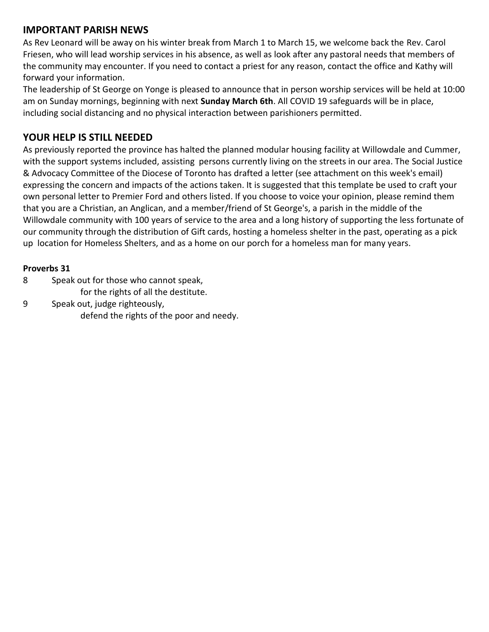### **IMPORTANT PARISH NEWS**

As Rev Leonard will be away on his winter break from March 1 to March 15, we welcome back the Rev. Carol Friesen, who will lead worship services in his absence, as well as look after any pastoral needs that members of the community may encounter. If you need to contact a priest for any reason, contact the office and Kathy will forward your information.

The leadership of St George on Yonge is pleased to announce that in person worship services will be held at 10:00 am on Sunday mornings, beginning with next **Sunday March 6th**. All COVID 19 safeguards will be in place, including social distancing and no physical interaction between parishioners permitted.

### **YOUR HELP IS STILL NEEDED**

As previously reported the province has halted the planned modular housing facility at Willowdale and Cummer, with the support systems included, assisting persons currently living on the streets in our area. The Social Justice & Advocacy Committee of the Diocese of Toronto has drafted a letter (see attachment on this week's email) expressing the concern and impacts of the actions taken. It is suggested that this template be used to craft your own personal letter to Premier Ford and others listed. If you choose to voice your opinion, please remind them that you are a Christian, an Anglican, and a member/friend of St George's, a parish in the middle of the Willowdale community with 100 years of service to the area and a long history of supporting the less fortunate of our community through the distribution of Gift cards, hosting a homeless shelter in the past, operating as a pick up location for Homeless Shelters, and as a home on our porch for a homeless man for many years.

#### **Proverbs 31**

- 8 Speak out for those who cannot speak,
	- for the rights of all the destitute.
- 9 Speak out, judge righteously, defend the rights of the poor and needy.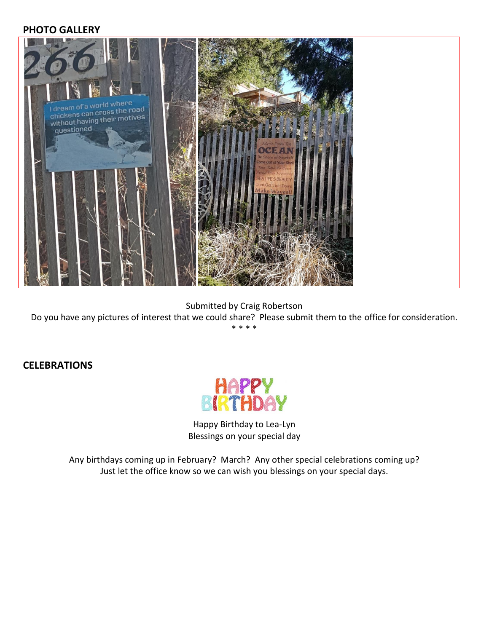#### **PHOTO GALLERY**



Submitted by Craig Robertson

Do you have any pictures of interest that we could share? Please submit them to the office for consideration. \* \* \* \*

#### **CELEBRATIONS**



Happy Birthday to Lea-Lyn Blessings on your special day

Any birthdays coming up in February? March? Any other special celebrations coming up? Just let the office know so we can wish you blessings on your special days.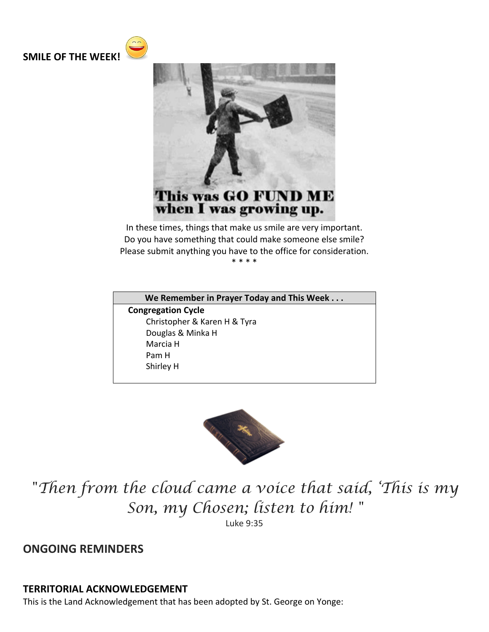



In these times, things that make us smile are very important. Do you have something that could make someone else smile? Please submit anything you have to the office for consideration. \* \* \* \*

**We Remember in Prayer Today and This Week . . .**

**Congregation Cycle** Christopher & Karen H & Tyra Douglas & Minka H Marcia H Pam H Shirley H



*"Then from the cloud came a voice that said, 'This is my Son, my Chosen; listen to him! "*

Luke 9:35

**ONGOING REMINDERS**

#### **TERRITORIAL ACKNOWLEDGEMENT**

This is the Land Acknowledgement that has been adopted by St. George on Yonge: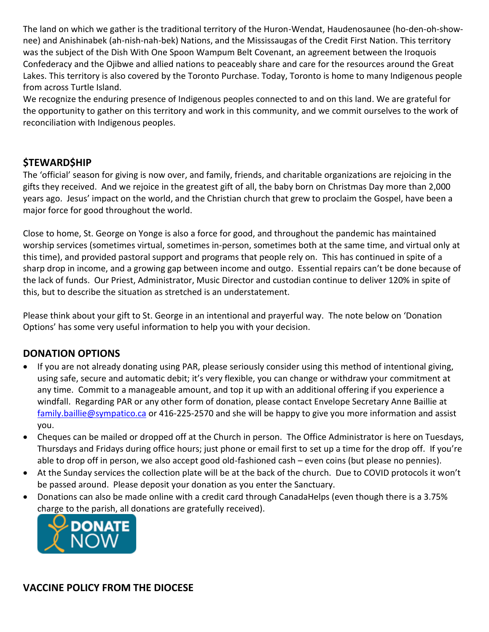The land on which we gather is the traditional territory of the Huron-Wendat, Haudenosaunee (ho-den-oh-shownee) and Anishinabek (ah-nish-nah-bek) Nations, and the Mississaugas of the Credit First Nation. This territory was the subject of the Dish With One Spoon Wampum Belt Covenant, an agreement between the Iroquois Confederacy and the Ojibwe and allied nations to peaceably share and care for the resources around the Great Lakes. This territory is also covered by the Toronto Purchase. Today, Toronto is home to many Indigenous people from across Turtle Island.

We recognize the enduring presence of Indigenous peoples connected to and on this land. We are grateful for the opportunity to gather on this territory and work in this community, and we commit ourselves to the work of reconciliation with Indigenous peoples.

### **\$TEWARD\$HIP**

The 'official' season for giving is now over, and family, friends, and charitable organizations are rejoicing in the gifts they received. And we rejoice in the greatest gift of all, the baby born on Christmas Day more than 2,000 years ago. Jesus' impact on the world, and the Christian church that grew to proclaim the Gospel, have been a major force for good throughout the world.

Close to home, St. George on Yonge is also a force for good, and throughout the pandemic has maintained worship services (sometimes virtual, sometimes in-person, sometimes both at the same time, and virtual only at this time), and provided pastoral support and programs that people rely on. This has continued in spite of a sharp drop in income, and a growing gap between income and outgo. Essential repairs can't be done because of the lack of funds. Our Priest, Administrator, Music Director and custodian continue to deliver 120% in spite of this, but to describe the situation as stretched is an understatement.

Please think about your gift to St. George in an intentional and prayerful way. The note below on 'Donation Options' has some very useful information to help you with your decision.

### **DONATION OPTIONS**

- If you are not already donating using PAR, please seriously consider using this method of intentional giving, using safe, secure and automatic debit; it's very flexible, you can change or withdraw your commitment at any time. Commit to a manageable amount, and top it up with an additional offering if you experience a windfall. Regarding PAR or any other form of donation, please contact Envelope Secretary Anne Baillie at [family.baillie@sympatico.ca](mailto:family.baillie@sympatico.ca) or 416-225-2570 and she will be happy to give you more information and assist you.
- Cheques can be mailed or dropped off at the Church in person. The Office Administrator is here on Tuesdays, Thursdays and Fridays during office hours; just phone or email first to set up a time for the drop off. If you're able to drop off in person, we also accept good old-fashioned cash – even coins (but please no pennies).
- At the Sunday services the collection plate will be at the back of the church. Due to COVID protocols it won't be passed around. Please deposit your donation as you enter the Sanctuary.
- Donations can also be made online with a credit card through CanadaHelps (even though there is a 3.75% [charge to the parish, all do](https://www.canadahelps.org/CharityProfilePage.aspx?CharityID=d28998)nations are gratefully received).



**VACCINE POLICY FROM THE DIOCESE**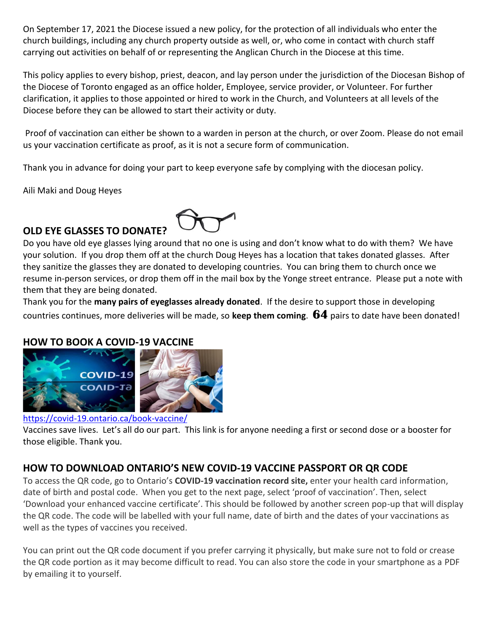On September 17, 2021 the Diocese issued a new policy, for the protection of all individuals who enter the church buildings, including any church property outside as well, or, who come in contact with church staff carrying out activities on behalf of or representing the Anglican Church in the Diocese at this time.

This policy applies to every bishop, priest, deacon, and lay person under the jurisdiction of the Diocesan Bishop of the Diocese of Toronto engaged as an office holder, Employee, service provider, or Volunteer. For further clarification, it applies to those appointed or hired to work in the Church, and Volunteers at all levels of the Diocese before they can be allowed to start their activity or duty.

Proof of vaccination can either be shown to a warden in person at the church, or over Zoom. Please do not email us your vaccination certificate as proof, as it is not a secure form of communication.

Thank you in advance for doing your part to keep everyone safe by complying with the diocesan policy.

Aili Maki and Doug Heyes

# **OLD EYE GLASSES TO DONATE?**



Do you have old eye glasses lying around that no one is using and don't know what to do with them? We have your solution. If you drop them off at the church Doug Heyes has a location that takes donated glasses. After they sanitize the glasses they are donated to developing countries. You can bring them to church once we resume in-person services, or drop them off in the mail box by the Yonge street entrance. Please put a note with them that they are being donated.

Thank you for the **many pairs of eyeglasses already donated**. If the desire to support those in developing countries continues, more deliveries will be made, so **keep them coming**. **64** pairs to date have been donated!

#### **HOW TO BOOK A COVID-19 VACCINE**



#### <https://covid-19.ontario.ca/book-vaccine/>

Vaccines save lives. Let's all do our part. This link is for anyone needing a first or second dose or a booster for those eligible. Thank you.

### **HOW TO DOWNLOAD ONTARIO'S NEW COVID-19 VACCINE PASSPORT OR QR CODE**

To access the QR code, go to Ontario's **[COVID-19 vaccination record site,](https://covid19.ontariohealth.ca/app-identity?viewId=JKH22JRXBHCT)** enter your health card information, date of birth and postal code. When you get to the next page, select 'proof of vaccination'. Then, select 'Download your enhanced vaccine certificate'. This should be followed by another screen pop-up that will display the QR code. The code will be labelled with your full name, date of birth and the dates of your vaccinations as well as the types of vaccines you received.

You can print out the QR code document if you prefer carrying it physically, but make sure not to fold or crease the QR code portion as it may become difficult to read. You can also store the code in your smartphone as a PDF by emailing it to yourself.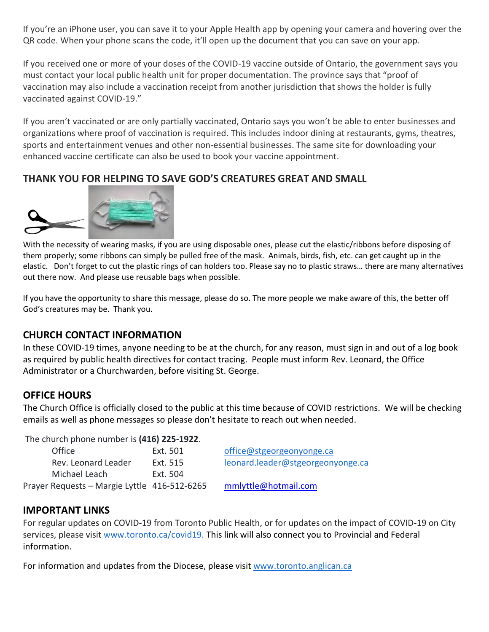If you're an iPhone user, you can save it to your Apple Health app by opening your camera and hovering over the QR code. When your phone scans the code, it'll open up the document that you can save on your app.

If you received one or more of your doses of the COVID-19 vaccine outside of Ontario, the government says you must contact [your local public health unit](https://www.phdapps.health.gov.on.ca/phulocator/) for proper documentation. The province says that "[proof of](https://covid-19.ontario.ca/proof-covid-19-vaccination)  [vaccination](https://covid-19.ontario.ca/proof-covid-19-vaccination) may also include a vaccination receipt from another jurisdiction that shows the holder is fully vaccinated against COVID-19."

If you aren't vaccinated or are only partially vaccinated, Ontario says you won't be able to enter businesses and organizations where proof of vaccination is required. This includes indoor dining at restaurants, gyms, theatres, sports and entertainment venues and other non-essential businesses. The same site for downloading your enhanced vaccine certificate can also be used to [book your vaccine appointment.](https://covid-19.ontario.ca/book-vaccine/)

### **THANK YOU FOR HELPING TO SAVE GOD'S CREATURES GREAT AND SMALL**



With the necessity of wearing masks, if you are using disposable ones, please cut the elastic/ribbons before disposing of them properly; some ribbons can simply be pulled free of the mask. Animals, birds, fish, etc. can get caught up in the elastic. Don't forget to cut the plastic rings of can holders too. Please say no to plastic straws… there are many alternatives out there now. And please use reusable bags when possible.

If you have the opportunity to share this message, please do so. The more people we make aware of this, the better off God's creatures may be. Thank you.

#### **CHURCH CONTACT INFORMATION**

In these COVID-19 times, anyone needing to be at the church, for any reason, must sign in and out of a log book as required by public health directives for contact tracing. People must inform Rev. Leonard, the Office Administrator or a Churchwarden, before visiting St. George.

#### **OFFICE HOURS**

The Church Office is officially closed to the public at this time because of COVID restrictions. We will be checking emails as well as phone messages so please don't hesitate to reach out when needed.

The church phone number is **(416) 225-1922**.

| Office                                       | Ext. 501 | office@stgeorgeonyonge.ca         |
|----------------------------------------------|----------|-----------------------------------|
| Rev. Leonard Leader                          | Ext. 515 | leonard.leader@stgeorgeonyonge.ca |
| Michael Leach                                | Fxt. 504 |                                   |
| Prayer Requests – Margie Lyttle 416-512-6265 |          | mmlyttle@hotmail.com              |

#### **IMPORTANT LINKS**

For regular updates on COVID-19 from Toronto Public Health, or for updates on the impact of COVID-19 on City services, please visit [www.toronto.ca/covid19.](https://johnfilion.us19.list-manage.com/track/click?u=ba96c30a44c71f2708e8ea8c9&id=1cdcf0ae5d&e=de2c19df00) This link will also connect you to Provincial and Federal information.

For information and updates from the Diocese, please visit [www.toronto.anglican.ca](http://www.toronto.anglican.ca/)